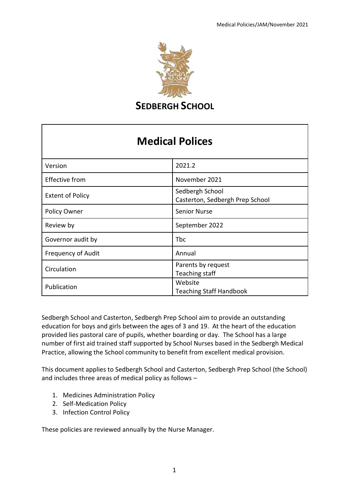

**SEDBERGH SCHOOL** 

# **Medical Polices**

| Version                   | 2021.2                                             |
|---------------------------|----------------------------------------------------|
| <b>Effective from</b>     | November 2021                                      |
| <b>Extent of Policy</b>   | Sedbergh School<br>Casterton, Sedbergh Prep School |
| Policy Owner              | <b>Senior Nurse</b>                                |
| Review by                 | September 2022                                     |
| Governor audit by         | Tbc                                                |
| <b>Frequency of Audit</b> | Annual                                             |
| Circulation               | Parents by request<br>Teaching staff               |
| Publication               | Website<br><b>Teaching Staff Handbook</b>          |

Sedbergh School and Casterton, Sedbergh Prep School aim to provide an outstanding education for boys and girls between the ages of 3 and 19. At the heart of the education provided lies pastoral care of pupils, whether boarding or day. The School has a large number of first aid trained staff supported by School Nurses based in the Sedbergh Medical Practice, allowing the School community to benefit from excellent medical provision.

This document applies to Sedbergh School and Casterton, Sedbergh Prep School (the School) and includes three areas of medical policy as follows –

- 1. Medicines Administration Policy
- 2. Self-Medication Policy
- 3. Infection Control Policy

These policies are reviewed annually by the Nurse Manager.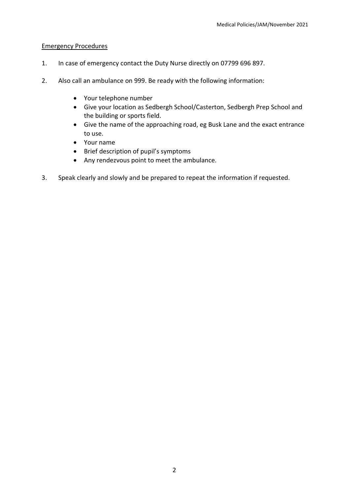## Emergency Procedures

- 1. In case of emergency contact the Duty Nurse directly on 07799 696 897.
- 2. Also call an ambulance on 999. Be ready with the following information:
	- Your telephone number
	- Give your location as Sedbergh School/Casterton, Sedbergh Prep School and the building or sports field.
	- Give the name of the approaching road, eg Busk Lane and the exact entrance to use.
	- Your name
	- Brief description of pupil's symptoms
	- Any rendezvous point to meet the ambulance.
- 3. Speak clearly and slowly and be prepared to repeat the information if requested.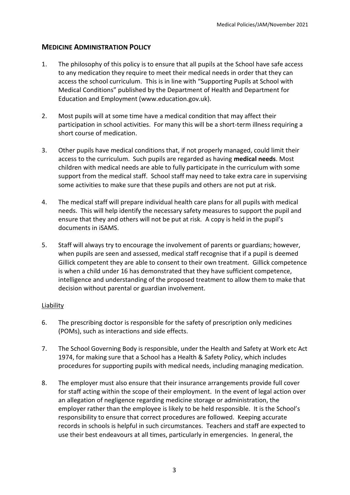# **MEDICINE ADMINISTRATION POLICY**

- 1. The philosophy of this policy is to ensure that all pupils at the School have safe access to any medication they require to meet their medical needs in order that they can access the school curriculum. This is in line with "Supporting Pupils at School with Medical Conditions" published by the Department of Health and Department for Education and Employment (www.education.gov.uk).
- 2. Most pupils will at some time have a medical condition that may affect their participation in school activities. For many this will be a short-term illness requiring a short course of medication.
- 3. Other pupils have medical conditions that, if not properly managed, could limit their access to the curriculum. Such pupils are regarded as having **medical needs**. Most children with medical needs are able to fully participate in the curriculum with some support from the medical staff. School staff may need to take extra care in supervising some activities to make sure that these pupils and others are not put at risk.
- 4. The medical staff will prepare individual health care plans for all pupils with medical needs. This will help identify the necessary safety measures to support the pupil and ensure that they and others will not be put at risk. A copy is held in the pupil's documents in iSAMS.
- 5. Staff will always try to encourage the involvement of parents or guardians; however, when pupils are seen and assessed, medical staff recognise that if a pupil is deemed Gillick competent they are able to consent to their own treatment. Gillick competence is when a child under 16 has demonstrated that they have sufficient competence, intelligence and understanding of the proposed treatment to allow them to make that decision without parental or guardian involvement.

### Liability

- 6. The prescribing doctor is responsible for the safety of prescription only medicines (POMs), such as interactions and side effects.
- 7. The School Governing Body is responsible, under the Health and Safety at Work etc Act 1974, for making sure that a School has a Health & Safety Policy, which includes procedures for supporting pupils with medical needs, including managing medication.
- 8. The employer must also ensure that their insurance arrangements provide full cover for staff acting within the scope of their employment. In the event of legal action over an allegation of negligence regarding medicine storage or administration, the employer rather than the employee is likely to be held responsible. It is the School's responsibility to ensure that correct procedures are followed. Keeping accurate records in schools is helpful in such circumstances. Teachers and staff are expected to use their best endeavours at all times, particularly in emergencies. In general, the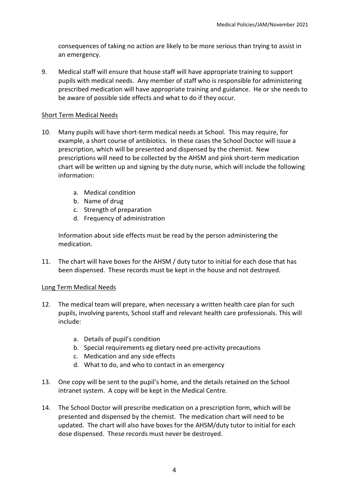consequences of taking no action are likely to be more serious than trying to assist in an emergency.

9. Medical staff will ensure that house staff will have appropriate training to support pupils with medical needs. Any member of staff who is responsible for administering prescribed medication will have appropriate training and guidance. He or she needs to be aware of possible side effects and what to do if they occur.

## Short Term Medical Needs

- 10. Many pupils will have short-term medical needs at School. This may require, for example, a short course of antibiotics. In these cases the School Doctor will issue a prescription, which will be presented and dispensed by the chemist. New prescriptions will need to be collected by the AHSM and pink short-term medication chart will be written up and signing by the duty nurse, which will include the following information:
	- a. Medical condition
	- b. Name of drug
	- c. Strength of preparation
	- d. Frequency of administration

Information about side effects must be read by the person administering the medication.

11. The chart will have boxes for the AHSM / duty tutor to initial for each dose that has been dispensed. These records must be kept in the house and not destroyed.

## Long Term Medical Needs

- 12. The medical team will prepare, when necessary a written health care plan for such pupils, involving parents, School staff and relevant health care professionals. This will include:
	- a. Details of pupil's condition
	- b. Special requirements eg dietary need pre-activity precautions
	- c. Medication and any side effects
	- d. What to do, and who to contact in an emergency
- 13. One copy will be sent to the pupil's home, and the details retained on the School intranet system. A copy will be kept in the Medical Centre.
- 14. The School Doctor will prescribe medication on a prescription form, which will be presented and dispensed by the chemist. The medication chart will need to be updated. The chart will also have boxes for the AHSM/duty tutor to initial for each dose dispensed. These records must never be destroyed.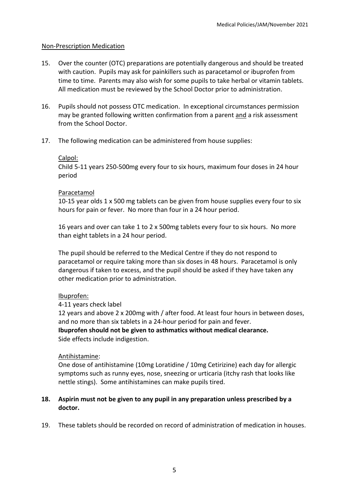## Non-Prescription Medication

- 15. Over the counter (OTC) preparations are potentially dangerous and should be treated with caution. Pupils may ask for painkillers such as paracetamol or ibuprofen from time to time. Parents may also wish for some pupils to take herbal or vitamin tablets. All medication must be reviewed by the School Doctor prior to administration.
- 16. Pupils should not possess OTC medication. In exceptional circumstances permission may be granted following written confirmation from a parent and a risk assessment from the School Doctor.
- 17. The following medication can be administered from house supplies:

## Calpol:

Child 5-11 years 250-500mg every four to six hours, maximum four doses in 24 hour period

## Paracetamol

10-15 year olds 1 x 500 mg tablets can be given from house supplies every four to six hours for pain or fever. No more than four in a 24 hour period.

16 years and over can take 1 to 2 x 500mg tablets every four to six hours. No more than eight tablets in a 24 hour period.

The pupil should be referred to the Medical Centre if they do not respond to paracetamol or require taking more than six doses in 48 hours. Paracetamol is only dangerous if taken to excess, and the pupil should be asked if they have taken any other medication prior to administration.

## Ibuprofen:

4-11 years check label

12 years and above 2 x 200mg with / after food. At least four hours in between doses, and no more than six tablets in a 24-hour period for pain and fever.

**Ibuprofen should not be given to asthmatics without medical clearance.** Side effects include indigestion.

## Antihistamine:

One dose of antihistamine (10mg Loratidine / 10mg Cetirizine) each day for allergic symptoms such as runny eyes, nose, sneezing or urticaria (itchy rash that looks like nettle stings). Some antihistamines can make pupils tired.

# **18. Aspirin must not be given to any pupil in any preparation unless prescribed by a doctor.**

19. These tablets should be recorded on record of administration of medication in houses.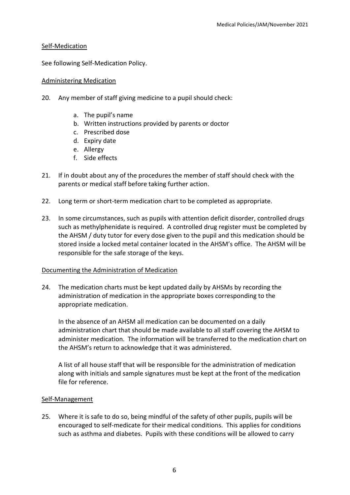### Self-Medication

See following Self-Medication Policy.

## Administering Medication

- 20. Any member of staff giving medicine to a pupil should check:
	- a. The pupil's name
	- b. Written instructions provided by parents or doctor
	- c. Prescribed dose
	- d. Expiry date
	- e. Allergy
	- f. Side effects
- 21. If in doubt about any of the procedures the member of staff should check with the parents or medical staff before taking further action.
- 22. Long term or short-term medication chart to be completed as appropriate.
- 23. In some circumstances, such as pupils with attention deficit disorder, controlled drugs such as methylphenidate is required. A controlled drug register must be completed by the AHSM / duty tutor for every dose given to the pupil and this medication should be stored inside a locked metal container located in the AHSM's office. The AHSM will be responsible for the safe storage of the keys.

### Documenting the Administration of Medication

24. The medication charts must be kept updated daily by AHSMs by recording the administration of medication in the appropriate boxes corresponding to the appropriate medication.

In the absence of an AHSM all medication can be documented on a daily administration chart that should be made available to all staff covering the AHSM to administer medication. The information will be transferred to the medication chart on the AHSM's return to acknowledge that it was administered.

A list of all house staff that will be responsible for the administration of medication along with initials and sample signatures must be kept at the front of the medication file for reference.

### Self-Management

25. Where it is safe to do so, being mindful of the safety of other pupils, pupils will be encouraged to self-medicate for their medical conditions. This applies for conditions such as asthma and diabetes. Pupils with these conditions will be allowed to carry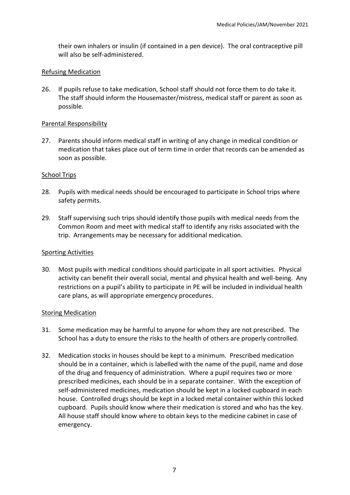their own inhalers or insulin (if contained in a pen device). The oral contraceptive pill will also be self-administered.

## Refusing Medication

26. If pupils refuse to take medication, School staff should not force them to do take it. The staff should inform the Housemaster/mistress, medical staff or parent as soon as possible.

## Parental Responsibility

27. Parents should inform medical staff in writing of any change in medical condition or medication that takes place out of term time in order that records can be amended as soon as possible.

## School Trips

- 28. Pupils with medical needs should be encouraged to participate in School trips where safety permits.
- 29. Staff supervising such trips should identify those pupils with medical needs from the Common Room and meet with medical staff to identify any risks associated with the trip. Arrangements may be necessary for additional medication.

### Sporting Activities

30. Most pupils with medical conditions should participate in all sport activities. Physical activity can benefit their overall social, mental and physical health and well-being. Any restrictions on a pupil's ability to participate in PE will be included in individual health care plans, as will appropriate emergency procedures.

### Storing Medication

- 31. Some medication may be harmful to anyone for whom they are not prescribed. The School has a duty to ensure the risks to the health of others are properly controlled.
- 32. Medication stocks in houses should be kept to a minimum. Prescribed medication should be in a container, which is labelled with the name of the pupil, name and dose of the drug and frequency of administration. Where a pupil requires two or more prescribed medicines, each should be in a separate container. With the exception of self-administered medicines, medication should be kept in a locked cupboard in each house. Controlled drugs should be kept in a locked metal container within this locked cupboard. Pupils should know where their medication is stored and who has the key. All house staff should know where to obtain keys to the medicine cabinet in case of emergency.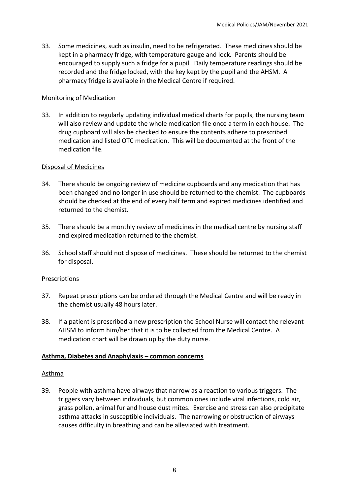33. Some medicines, such as insulin, need to be refrigerated. These medicines should be kept in a pharmacy fridge, with temperature gauge and lock. Parents should be encouraged to supply such a fridge for a pupil. Daily temperature readings should be recorded and the fridge locked, with the key kept by the pupil and the AHSM. A pharmacy fridge is available in the Medical Centre if required.

## Monitoring of Medication

33. In addition to regularly updating individual medical charts for pupils, the nursing team will also review and update the whole medication file once a term in each house. The drug cupboard will also be checked to ensure the contents adhere to prescribed medication and listed OTC medication. This will be documented at the front of the medication file.

## Disposal of Medicines

- 34. There should be ongoing review of medicine cupboards and any medication that has been changed and no longer in use should be returned to the chemist. The cupboards should be checked at the end of every half term and expired medicines identified and returned to the chemist.
- 35. There should be a monthly review of medicines in the medical centre by nursing staff and expired medication returned to the chemist.
- 36. School staff should not dispose of medicines. These should be returned to the chemist for disposal.

### Prescriptions

- 37. Repeat prescriptions can be ordered through the Medical Centre and will be ready in the chemist usually 48 hours later.
- 38. If a patient is prescribed a new prescription the School Nurse will contact the relevant AHSM to inform him/her that it is to be collected from the Medical Centre. A medication chart will be drawn up by the duty nurse.

## **Asthma, Diabetes and Anaphylaxis – common concerns**

### Asthma

39. People with asthma have airways that narrow as a reaction to various triggers. The triggers vary between individuals, but common ones include viral infections, cold air, grass pollen, animal fur and house dust mites. Exercise and stress can also precipitate asthma attacks in susceptible individuals. The narrowing or obstruction of airways causes difficulty in breathing and can be alleviated with treatment.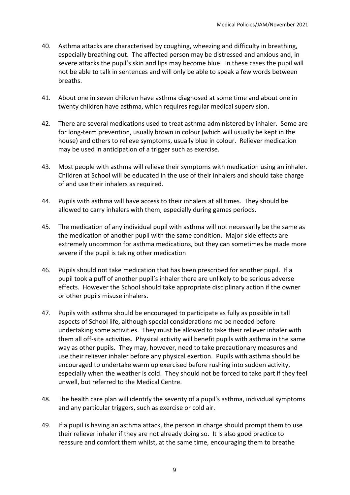- 40. Asthma attacks are characterised by coughing, wheezing and difficulty in breathing, especially breathing out. The affected person may be distressed and anxious and, in severe attacks the pupil's skin and lips may become blue. In these cases the pupil will not be able to talk in sentences and will only be able to speak a few words between breaths.
- 41. About one in seven children have asthma diagnosed at some time and about one in twenty children have asthma, which requires regular medical supervision.
- 42. There are several medications used to treat asthma administered by inhaler. Some are for long-term prevention, usually brown in colour (which will usually be kept in the house) and others to relieve symptoms, usually blue in colour. Reliever medication may be used in anticipation of a trigger such as exercise.
- 43. Most people with asthma will relieve their symptoms with medication using an inhaler. Children at School will be educated in the use of their inhalers and should take charge of and use their inhalers as required.
- 44. Pupils with asthma will have access to their inhalers at all times. They should be allowed to carry inhalers with them, especially during games periods.
- 45. The medication of any individual pupil with asthma will not necessarily be the same as the medication of another pupil with the same condition. Major side effects are extremely uncommon for asthma medications, but they can sometimes be made more severe if the pupil is taking other medication
- 46. Pupils should not take medication that has been prescribed for another pupil. If a pupil took a puff of another pupil's inhaler there are unlikely to be serious adverse effects. However the School should take appropriate disciplinary action if the owner or other pupils misuse inhalers.
- 47. Pupils with asthma should be encouraged to participate as fully as possible in tall aspects of School life, although special considerations me be needed before undertaking some activities. They must be allowed to take their reliever inhaler with them all off-site activities. Physical activity will benefit pupils with asthma in the same way as other pupils. They may, however, need to take precautionary measures and use their reliever inhaler before any physical exertion. Pupils with asthma should be encouraged to undertake warm up exercised before rushing into sudden activity, especially when the weather is cold. They should not be forced to take part if they feel unwell, but referred to the Medical Centre.
- 48. The health care plan will identify the severity of a pupil's asthma, individual symptoms and any particular triggers, such as exercise or cold air.
- 49. If a pupil is having an asthma attack, the person in charge should prompt them to use their reliever inhaler if they are not already doing so. It is also good practice to reassure and comfort them whilst, at the same time, encouraging them to breathe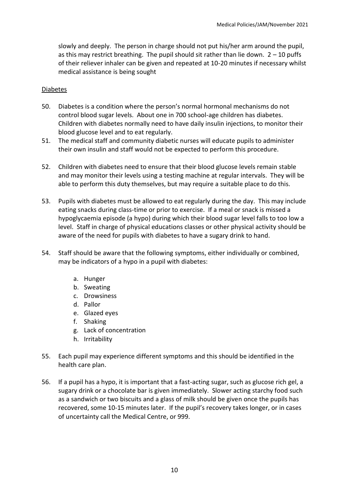slowly and deeply. The person in charge should not put his/her arm around the pupil, as this may restrict breathing. The pupil should sit rather than lie down.  $2 - 10$  puffs of their reliever inhaler can be given and repeated at 10-20 minutes if necessary whilst medical assistance is being sought

### Diabetes

- 50. Diabetes is a condition where the person's normal hormonal mechanisms do not control blood sugar levels. About one in 700 school-age children has diabetes. Children with diabetes normally need to have daily insulin injections, to monitor their blood glucose level and to eat regularly.
- 51. The medical staff and community diabetic nurses will educate pupils to administer their own insulin and staff would not be expected to perform this procedure.
- 52. Children with diabetes need to ensure that their blood glucose levels remain stable and may monitor their levels using a testing machine at regular intervals. They will be able to perform this duty themselves, but may require a suitable place to do this.
- 53. Pupils with diabetes must be allowed to eat regularly during the day. This may include eating snacks during class-time or prior to exercise. If a meal or snack is missed a hypoglycaemia episode (a hypo) during which their blood sugar level falls to too low a level. Staff in charge of physical educations classes or other physical activity should be aware of the need for pupils with diabetes to have a sugary drink to hand.
- 54. Staff should be aware that the following symptoms, either individually or combined, may be indicators of a hypo in a pupil with diabetes:
	- a. Hunger
	- b. Sweating
	- c. Drowsiness
	- d. Pallor
	- e. Glazed eyes
	- f. Shaking
	- g. Lack of concentration
	- h. Irritability
- 55. Each pupil may experience different symptoms and this should be identified in the health care plan.
- 56. If a pupil has a hypo, it is important that a fast-acting sugar, such as glucose rich gel, a sugary drink or a chocolate bar is given immediately. Slower acting starchy food such as a sandwich or two biscuits and a glass of milk should be given once the pupils has recovered, some 10-15 minutes later. If the pupil's recovery takes longer, or in cases of uncertainty call the Medical Centre, or 999.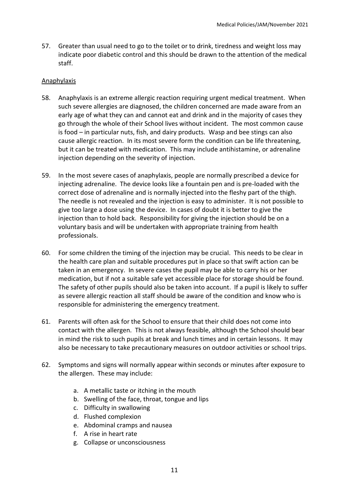57. Greater than usual need to go to the toilet or to drink, tiredness and weight loss may indicate poor diabetic control and this should be drawn to the attention of the medical staff.

## Anaphylaxis

- 58. Anaphylaxis is an extreme allergic reaction requiring urgent medical treatment. When such severe allergies are diagnosed, the children concerned are made aware from an early age of what they can and cannot eat and drink and in the majority of cases they go through the whole of their School lives without incident. The most common cause is food – in particular nuts, fish, and dairy products. Wasp and bee stings can also cause allergic reaction. In its most severe form the condition can be life threatening, but it can be treated with medication. This may include antihistamine, or adrenaline injection depending on the severity of injection.
- 59. In the most severe cases of anaphylaxis, people are normally prescribed a device for injecting adrenaline. The device looks like a fountain pen and is pre-loaded with the correct dose of adrenaline and is normally injected into the fleshy part of the thigh. The needle is not revealed and the injection is easy to administer. It is not possible to give too large a dose using the device. In cases of doubt it is better to give the injection than to hold back. Responsibility for giving the injection should be on a voluntary basis and will be undertaken with appropriate training from health professionals.
- 60. For some children the timing of the injection may be crucial. This needs to be clear in the health care plan and suitable procedures put in place so that swift action can be taken in an emergency. In severe cases the pupil may be able to carry his or her medication, but if not a suitable safe yet accessible place for storage should be found. The safety of other pupils should also be taken into account. If a pupil is likely to suffer as severe allergic reaction all staff should be aware of the condition and know who is responsible for administering the emergency treatment.
- 61. Parents will often ask for the School to ensure that their child does not come into contact with the allergen. This is not always feasible, although the School should bear in mind the risk to such pupils at break and lunch times and in certain lessons. It may also be necessary to take precautionary measures on outdoor activities or school trips.
- 62. Symptoms and signs will normally appear within seconds or minutes after exposure to the allergen. These may include:
	- a. A metallic taste or itching in the mouth
	- b. Swelling of the face, throat, tongue and lips
	- c. Difficulty in swallowing
	- d. Flushed complexion
	- e. Abdominal cramps and nausea
	- f. A rise in heart rate
	- g. Collapse or unconsciousness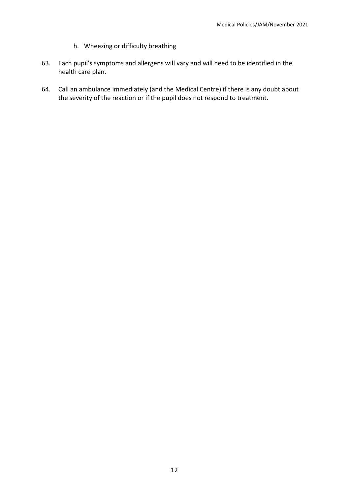- h. Wheezing or difficulty breathing
- 63. Each pupil's symptoms and allergens will vary and will need to be identified in the health care plan.
- 64. Call an ambulance immediately (and the Medical Centre) if there is any doubt about the severity of the reaction or if the pupil does not respond to treatment.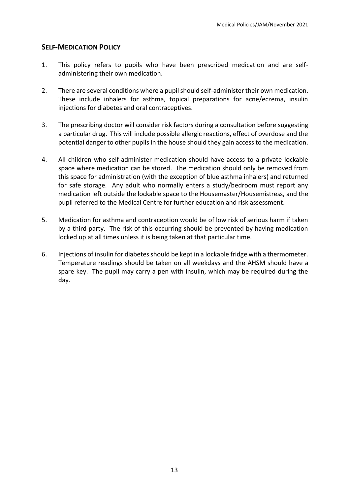## **SELF-MEDICATION POLICY**

- 1. This policy refers to pupils who have been prescribed medication and are selfadministering their own medication.
- 2. There are several conditions where a pupil should self-administer their own medication. These include inhalers for asthma, topical preparations for acne/eczema, insulin injections for diabetes and oral contraceptives.
- 3. The prescribing doctor will consider risk factors during a consultation before suggesting a particular drug. This will include possible allergic reactions, effect of overdose and the potential danger to other pupils in the house should they gain access to the medication.
- 4. All children who self-administer medication should have access to a private lockable space where medication can be stored. The medication should only be removed from this space for administration (with the exception of blue asthma inhalers) and returned for safe storage. Any adult who normally enters a study/bedroom must report any medication left outside the lockable space to the Housemaster/Housemistress, and the pupil referred to the Medical Centre for further education and risk assessment.
- 5. Medication for asthma and contraception would be of low risk of serious harm if taken by a third party. The risk of this occurring should be prevented by having medication locked up at all times unless it is being taken at that particular time.
- 6. Injections of insulin for diabetes should be kept in a lockable fridge with a thermometer. Temperature readings should be taken on all weekdays and the AHSM should have a spare key. The pupil may carry a pen with insulin, which may be required during the day.